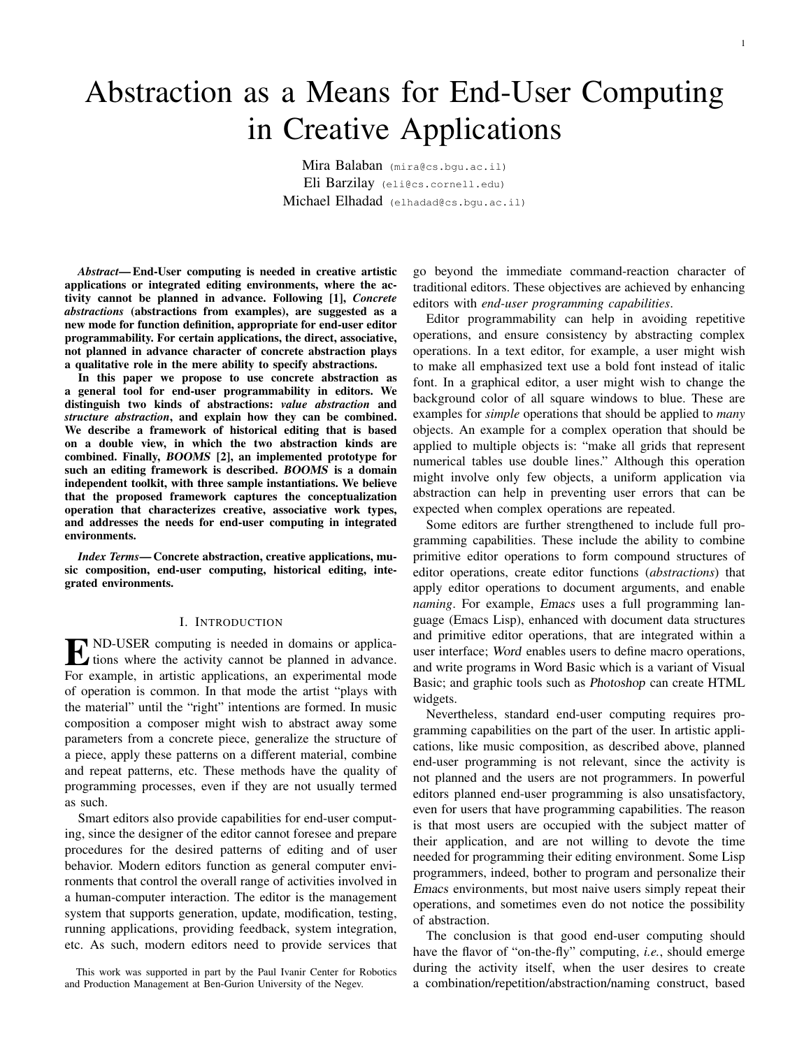# Abstraction as a Means for End-User Computing in Creative Applications

Mira Balaban (mira@cs.bgu.ac.il) Eli Barzilay (eli@cs.cornell.edu) Michael Elhadad (elhadad@cs.bqu.ac.il)

*Abstract***—End-User computing is needed in creative artistic applications or integrated editing environments, where the activity cannot be planned in advance. Following [1],** *Concrete abstractions* **(abstractions from examples), are suggested as a new mode for function definition, appropriate for end-user editor programmability. For certain applications, the direct, associative, not planned in advance character of concrete abstraction plays a qualitative role in the mere ability to specify abstractions.**

**In this paper we propose to use concrete abstraction as a general tool for end-user programmability in editors. We distinguish two kinds of abstractions:** *value abstraction* **and** *structure abstraction***, and explain how they can be combined. We describe a framework of historical editing that is based on a double view, in which the two abstraction kinds are combined. Finally, BOOMS [2], an implemented prototype for such an editing framework is described. BOOMS is a domain independent toolkit, with three sample instantiations. We believe that the proposed framework captures the conceptualization operation that characterizes creative, associative work types, and addresses the needs for end-user computing in integrated environments.**

*Index Terms***—Concrete abstraction, creative applications, music composition, end-user computing, historical editing, integrated environments.**

## I. INTRODUCTION

**E** ND-USER computing is needed in domains or applications where the activity cannot be planned in advance. tions where the activity cannot be planned in advance. For example, in artistic applications, an experimental mode of operation is common. In that mode the artist "plays with the material" until the "right" intentions are formed. In music composition a composer might wish to abstract away some parameters from a concrete piece, generalize the structure of a piece, apply these patterns on a different material, combine and repeat patterns, etc. These methods have the quality of programming processes, even if they are not usually termed as such.

Smart editors also provide capabilities for end-user computing, since the designer of the editor cannot foresee and prepare procedures for the desired patterns of editing and of user behavior. Modern editors function as general computer environments that control the overall range of activities involved in a human-computer interaction. The editor is the management system that supports generation, update, modification, testing, running applications, providing feedback, system integration, etc. As such, modern editors need to provide services that

This work was supported in part by the Paul Ivanir Center for Robotics and Production Management at Ben-Gurion University of the Negev.

go beyond the immediate command-reaction character of traditional editors. These objectives are achieved by enhancing editors with *end-user programming capabilities*.

Editor programmability can help in avoiding repetitive operations, and ensure consistency by abstracting complex operations. In a text editor, for example, a user might wish to make all emphasized text use a bold font instead of italic font. In a graphical editor, a user might wish to change the background color of all square windows to blue. These are examples for *simple* operations that should be applied to *many* objects. An example for a complex operation that should be applied to multiple objects is: "make all grids that represent numerical tables use double lines." Although this operation might involve only few objects, a uniform application via abstraction can help in preventing user errors that can be expected when complex operations are repeated.

Some editors are further strengthened to include full programming capabilities. These include the ability to combine primitive editor operations to form compound structures of editor operations, create editor functions (*abstractions*) that apply editor operations to document arguments, and enable *naming*. For example, Emacs uses a full programming language (Emacs Lisp), enhanced with document data structures and primitive editor operations, that are integrated within a user interface; Word enables users to define macro operations, and write programs in Word Basic which is a variant of Visual Basic; and graphic tools such as Photoshop can create HTML widgets.

Nevertheless, standard end-user computing requires programming capabilities on the part of the user. In artistic applications, like music composition, as described above, planned end-user programming is not relevant, since the activity is not planned and the users are not programmers. In powerful editors planned end-user programming is also unsatisfactory, even for users that have programming capabilities. The reason is that most users are occupied with the subject matter of their application, and are not willing to devote the time needed for programming their editing environment. Some Lisp programmers, indeed, bother to program and personalize their Emacs environments, but most naive users simply repeat their operations, and sometimes even do not notice the possibility of abstraction.

The conclusion is that good end-user computing should have the flavor of "on-the-fly" computing, *i.e.*, should emerge during the activity itself, when the user desires to create a combination/repetition/abstraction/naming construct, based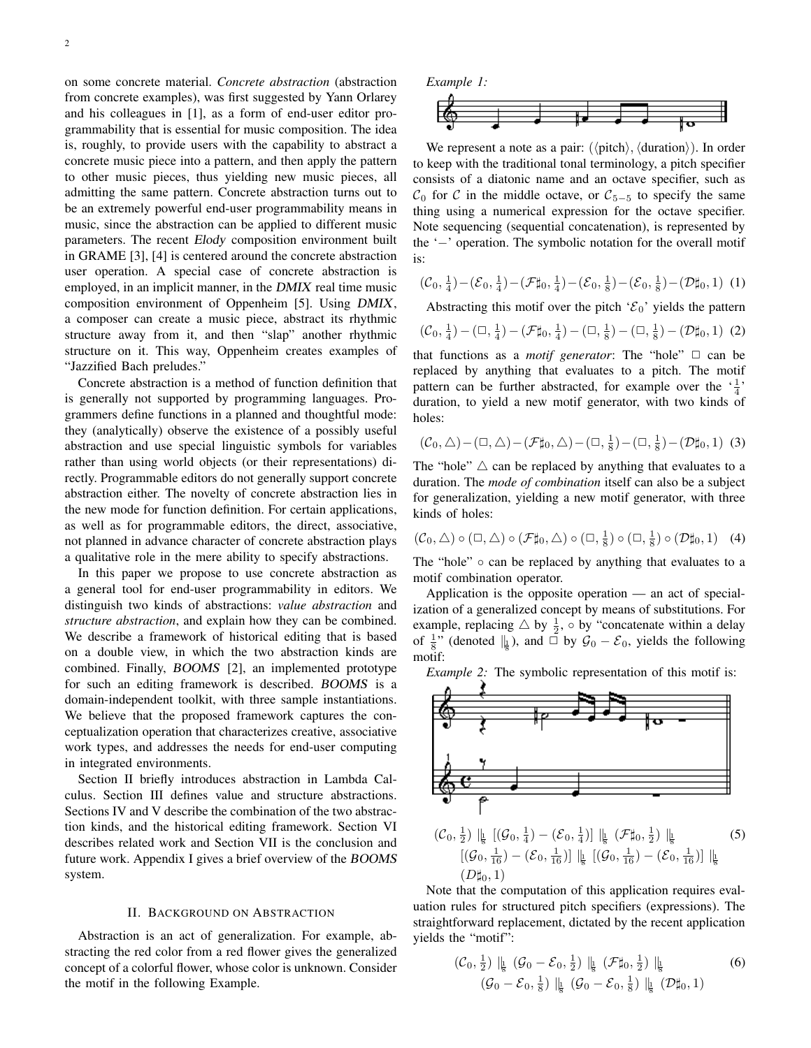on some concrete material. *Concrete abstraction* (abstraction from concrete examples), was first suggested by Yann Orlarey and his colleagues in [1], as a form of end-user editor programmability that is essential for music composition. The idea is, roughly, to provide users with the capability to abstract a concrete music piece into a pattern, and then apply the pattern to other music pieces, thus yielding new music pieces, all admitting the same pattern. Concrete abstraction turns out to be an extremely powerful end-user programmability means in music, since the abstraction can be applied to different music parameters. The recent Elody composition environment built in GRAME [3], [4] is centered around the concrete abstraction user operation. A special case of concrete abstraction is employed, in an implicit manner, in the DMIX real time music composition environment of Oppenheim [5]. Using DMIX, a composer can create a music piece, abstract its rhythmic structure away from it, and then "slap" another rhythmic structure on it. This way, Oppenheim creates examples of "Jazzified Bach preludes."

Concrete abstraction is a method of function definition that is generally not supported by programming languages. Programmers define functions in a planned and thoughtful mode: they (analytically) observe the existence of a possibly useful abstraction and use special linguistic symbols for variables rather than using world objects (or their representations) directly. Programmable editors do not generally support concrete abstraction either. The novelty of concrete abstraction lies in the new mode for function definition. For certain applications, as well as for programmable editors, the direct, associative, not planned in advance character of concrete abstraction plays a qualitative role in the mere ability to specify abstractions.

In this paper we propose to use concrete abstraction as a general tool for end-user programmability in editors. We distinguish two kinds of abstractions: *value abstraction* and *structure abstraction*, and explain how they can be combined. We describe a framework of historical editing that is based on a double view, in which the two abstraction kinds are combined. Finally, BOOMS [2], an implemented prototype for such an editing framework is described. BOOMS is a domain-independent toolkit, with three sample instantiations. We believe that the proposed framework captures the conceptualization operation that characterizes creative, associative work types, and addresses the needs for end-user computing in integrated environments.

Section II briefly introduces abstraction in Lambda Calculus. Section III defines value and structure abstractions. Sections IV and V describe the combination of the two abstraction kinds, and the historical editing framework. Section VI describes related work and Section VII is the conclusion and future work. Appendix I gives a brief overview of the BOOMS system.

## II. BACKGROUND ON ABSTRACTION

Abstraction is an act of generalization. For example, abstracting the red color from a red flower gives the generalized concept of a colorful flower, whose color is unknown. Consider the motif in the following Example.



We represent a note as a pair:  $(\langle pitch \rangle, \langle duration \rangle)$ . In order to keep with the traditional tonal terminology, a pitch specifier consists of a diatonic name and an octave specifier, such as  $C_0$  for C in the middle octave, or  $C_{5-5}$  to specify the same thing using a numerical expression for the octave specifier. Note sequencing (sequential concatenation), is represented by the '−' operation. The symbolic notation for the overall motif is:

$$
(\mathcal{C}_0, \frac{1}{4}) - (\mathcal{E}_0, \frac{1}{4}) - (\mathcal{F} \sharp_0, \frac{1}{4}) - (\mathcal{E}_0, \frac{1}{8}) - (\mathcal{E}_0, \frac{1}{8}) - (\mathcal{D} \sharp_0, 1) \tag{1}
$$

Abstracting this motif over the pitch ' $\mathcal{E}_0$ ' yields the pattern

$$
(\mathcal{C}_0, \frac{1}{4}) - (\square, \frac{1}{4}) - (\mathcal{F} \sharp_0, \frac{1}{4}) - (\square, \frac{1}{8}) - (\square, \frac{1}{8}) - (\mathcal{D} \sharp_0, 1) (2)
$$

that functions as a *motif generator*: The "hole"  $\Box$  can be replaced by anything that evaluates to a pitch. The motif pattern can be further abstracted, for example over the  $\frac{1}{4}$ duration, to yield a new motif generator, with two kinds of holes:

$$
(\mathcal{C}_0, \triangle) - (\square, \triangle) - (\mathcal{F} \sharp_0, \triangle) - (\square, \frac{1}{8}) - (\square, \frac{1}{8}) - (\mathcal{D} \sharp_0, 1) \tag{3}
$$

The "hole"  $\triangle$  can be replaced by anything that evaluates to a duration. The *mode of combination* itself can also be a subject for generalization, yielding a new motif generator, with three kinds of holes:

$$
(\mathcal{C}_0, \triangle) \circ (\square, \triangle) \circ (\mathcal{F} \sharp_0, \triangle) \circ (\square, \frac{1}{8}) \circ (\square, \frac{1}{8}) \circ (\mathcal{D} \sharp_0, 1) \quad (4)
$$

The "hole" ∘ can be replaced by anything that evaluates to a motif combination operator.

Application is the opposite operation — an act of specialization of a generalized concept by means of substitutions. For example, replacing  $\triangle$  by  $\frac{1}{2}$ ,  $\circ$  by "concatenate within a delay of  $\frac{1}{8}$ , (denoted  $\left|\frac{1}{8}\right|$ , and  $\overline{\Box}$  by  $\mathcal{G}_0 - \mathcal{E}_0$ , yields the following motif:

*Example 2:* The symbolic representation of this motif is:



Note that the computation of this application requires evaluation rules for structured pitch specifiers (expressions). The straightforward replacement, dictated by the recent application yields the "motif":

$$
\begin{array}{cc}\n(\mathcal{C}_0, \frac{1}{2}) \parallel_{\mathbb{B}} (\mathcal{G}_0 - \mathcal{E}_0, \frac{1}{2}) \parallel_{\mathbb{B}} (\mathcal{F}^{\sharp}_{\mathbb{D}}, \frac{1}{2}) \parallel_{\mathbb{B}} \\
(\mathcal{G}_0 - \mathcal{E}_0, \frac{1}{8}) \parallel_{\mathbb{B}} (\mathcal{G}_0 - \mathcal{E}_0, \frac{1}{8}) \parallel_{\mathbb{B}} (\mathcal{D}^{\sharp}_{\mathbb{D}}, 1)\n\end{array} \tag{6}
$$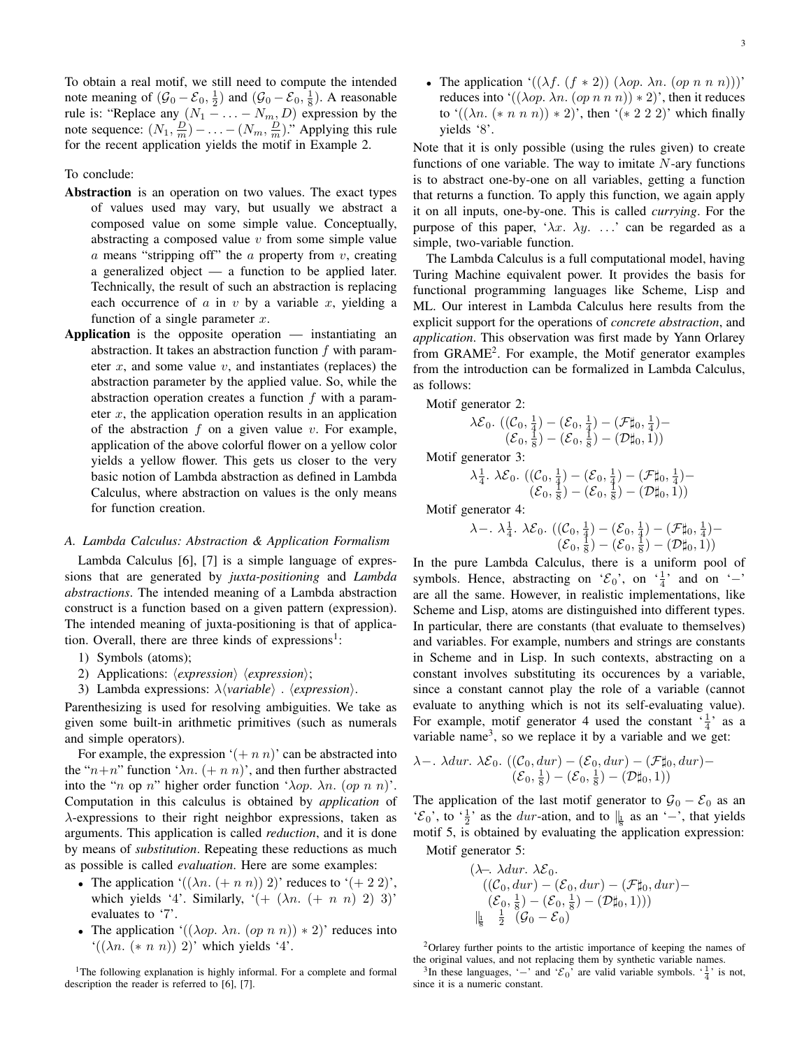To obtain a real motif, we still need to compute the intended note meaning of  $(G_0 - \mathcal{E}_0, \frac{1}{2})$  and  $(G_0 - \mathcal{E}_0, \frac{1}{8})$ . A reasonable rule is: "Replace any  $(N_1 - \ldots - N_m, D)$  expression by the note sequence:  $(N_1, \frac{D}{m}) - \ldots - (N_m, \frac{D}{m})$ ." Applying this rule for the recent application yields the motif in Example 2.

To conclude:

- **Abstraction** is an operation on two values. The exact types of values used may vary, but usually we abstract a composed value on some simple value. Conceptually, abstracting a composed value  $v$  from some simple value  $a$  means "stripping off" the  $a$  property from  $v$ , creating a generalized object — a function to be applied later. Technically, the result of such an abstraction is replacing each occurrence of  $a$  in  $v$  by a variable  $x$ , yielding a function of a single parameter  $x$ .
- **Application** is the opposite operation instantiating an abstraction. It takes an abstraction function  $f$  with parameter  $x$ , and some value  $v$ , and instantiates (replaces) the abstraction parameter by the applied value. So, while the abstraction operation creates a function f with a parameter  $x$ , the application operation results in an application of the abstraction  $f$  on a given value  $v$ . For example, application of the above colorful flower on a yellow color yields a yellow flower. This gets us closer to the very basic notion of Lambda abstraction as defined in Lambda Calculus, where abstraction on values is the only means for function creation.

## *A. Lambda Calculus: Abstraction & Application Formalism*

Lambda Calculus [6], [7] is a simple language of expressions that are generated by *juxta-positioning* and *Lambda abstractions*. The intended meaning of a Lambda abstraction construct is a function based on a given pattern (expression). The intended meaning of juxta-positioning is that of application. Overall, there are three kinds of expressions<sup>1</sup>:

- 1) Symbols (atoms);
- 2) Applications:  $\langle expression \rangle$   $\langle expression \rangle$ ;
- 3) Lambda expressions:  $\lambda$ *(variable)*. *{expression}*.

Parenthesizing is used for resolving ambiguities. We take as given some built-in arithmetic primitives (such as numerals and simple operators).

For example, the expression  $(1 + n n)'$  can be abstracted into the " $n+n$ " function ' $\lambda n$ . (+ n n)', and then further abstracted into the "*n* op *n*" higher order function ' $\lambda op$ .  $\lambda n$ . (*op n n*)'. Computation in this calculus is obtained by *application* of  $\lambda$ -expressions to their right neighbor expressions, taken as arguments. This application is called *reduction*, and it is done by means of *substitution*. Repeating these reductions as much as possible is called *evaluation*. Here are some examples:

- The application  $((\lambda n. (+ n n)) 2)'$  reduces to  $(+ 2 2)'$ , which yields '4'. Similarly, ' $(+ (\lambda n. (+ n n) 2) 3)'$ evaluates to '7'.
- The application ' $((\lambda op. \lambda n. (op n n)) * 2)$ ' reduces into  $((\lambda n. (* n n)) 2)'$  which yields '4'.

<sup>1</sup>The following explanation is highly informal. For a complete and formal description the reader is referred to [6], [7].

• The application ' $((\lambda f. (f * 2)) (\lambda op. \lambda n. (op n n n)))'$ reduces into ' $((\lambda op. \lambda n. (op n n n)) * 2)$ ', then it reduces to  $((\lambda n. (* n n n)) * 2)$ ', then  $(* 2 2 2)$ ' which finally yields '8'.

Note that it is only possible (using the rules given) to create functions of one variable. The way to imitate  $N$ -ary functions is to abstract one-by-one on all variables, getting a function that returns a function. To apply this function, we again apply it on all inputs, one-by-one. This is called *currying*. For the purpose of this paper, ' $\lambda x$ .  $\lambda y$ . . . . ' can be regarded as a simple, two-variable function.

The Lambda Calculus is a full computational model, having Turing Machine equivalent power. It provides the basis for functional programming languages like Scheme, Lisp and ML. Our interest in Lambda Calculus here results from the explicit support for the operations of *concrete abstraction*, and *application*. This observation was first made by Yann Orlarey from GRAME<sup>2</sup>. For example, the Motif generator examples from the introduction can be formalized in Lambda Calculus, as follows:

Motif generator 2:

$$
\lambda \mathcal{E}_0. \left( (\mathcal{C}_0, \frac{1}{4}) - (\mathcal{E}_0, \frac{1}{4}) - (\mathcal{F}^{\sharp}_0, \frac{1}{4}) - (\mathcal{E}_0, \frac{1}{8}) - (\mathcal{E}_0, \frac{1}{8}) - (\mathcal{D}^{\sharp}_0, 1) \right)
$$
  
generator 3:

$$
\frac{\lambda \frac{1}{4}}{4} \cdot \frac{\lambda \mathcal{E}_0. \left( (\mathcal{C}_0, \frac{1}{4}) - (\mathcal{E}_0, \frac{1}{4}) - (\mathcal{F} \sharp_0, \frac{1}{4}) - \\ (\mathcal{E}_0, \frac{1}{8}) - (\mathcal{E}_0, \frac{1}{8}) - (\mathcal{D} \sharp_0, 1) \right)}
$$

Motif generator 4:

Motif

$$
\lambda-.\;\lambda_{\frac{1}{4}}\cdot \lambda\mathcal{E}_0.\;((\mathcal{C}_0,\tfrac{1}{4})-(\mathcal{E}_0,\tfrac{1}{4})-(\mathcal{F}\sharp_0,\tfrac{1}{4})-(\mathcal{C}_0,\tfrac{1}{8})-(\mathcal{D}\sharp_0,1))
$$

In the pure Lambda Calculus, there is a uniform pool of symbols. Hence, abstracting on ' $\mathcal{E}_0$ ', on ' $\frac{1}{4}$ ' and on '−' are all the same. However, in realistic implementations, like Scheme and Lisp, atoms are distinguished into different types. In particular, there are constants (that evaluate to themselves) and variables. For example, numbers and strings are constants in Scheme and in Lisp. In such contexts, abstracting on a constant involves substituting its occurences by a variable, since a constant cannot play the role of a variable (cannot evaluate to anything which is not its self-evaluating value). For example, motif generator 4 used the constant  $\frac{1}{4}$  as a variable name<sup>3</sup>, so we replace it by a variable and we get:

$$
\lambda - \lambda \operatorname{dur.} \lambda \mathcal{E}_0. \left( (\mathcal{C}_0, \operatorname{dur}) - (\mathcal{E}_0, \operatorname{dur}) - (\mathcal{F}^{\sharp}_0, \operatorname{dur}) - (\mathcal{E}_0, \frac{1}{8}) - (\mathcal{E}_0, \frac{1}{8}) - (\mathcal{D}^{\sharp}_0, 1) \right)
$$

The application of the last motif generator to  $\mathcal{G}_0 - \mathcal{E}_0$  as an ' $\mathcal{E}_0$ ', to ' $\frac{1}{2}$ ' as the *dur*-ation, and to  $\vert \frac{1}{8}$  as an '−', that yields motif 5, is obtained by evaluating the application expression:

Motif generator 5:

$$
(\lambda-\lambda dur.\ \lambda{\mathcal E}_0.\\ (({\mathcal C}_0, dur)-({\mathcal E}_0, dur)-({\mathcal F}\sharp_0, dur)-\\ ({\mathcal E}_0,\frac{1}{8})-({\mathcal E}_0,\frac{1}{8})-({\mathcal D}\sharp_0,1)))\\ \Vert_\frac{1}{8}\Vert_2^{\frac{1}{2}}\ \frac{({\mathcal G}_0-{\mathcal E}_0)}{}
$$

 $2$ Orlarey further points to the artistic importance of keeping the names of the original values, and not replacing them by synthetic variable names.

<sup>3</sup>In these languages, '–' and ' $\mathcal{E}_0$ ' are valid variable symbols. ' $\frac{1}{4}$ ' is not, since it is a numeric constant.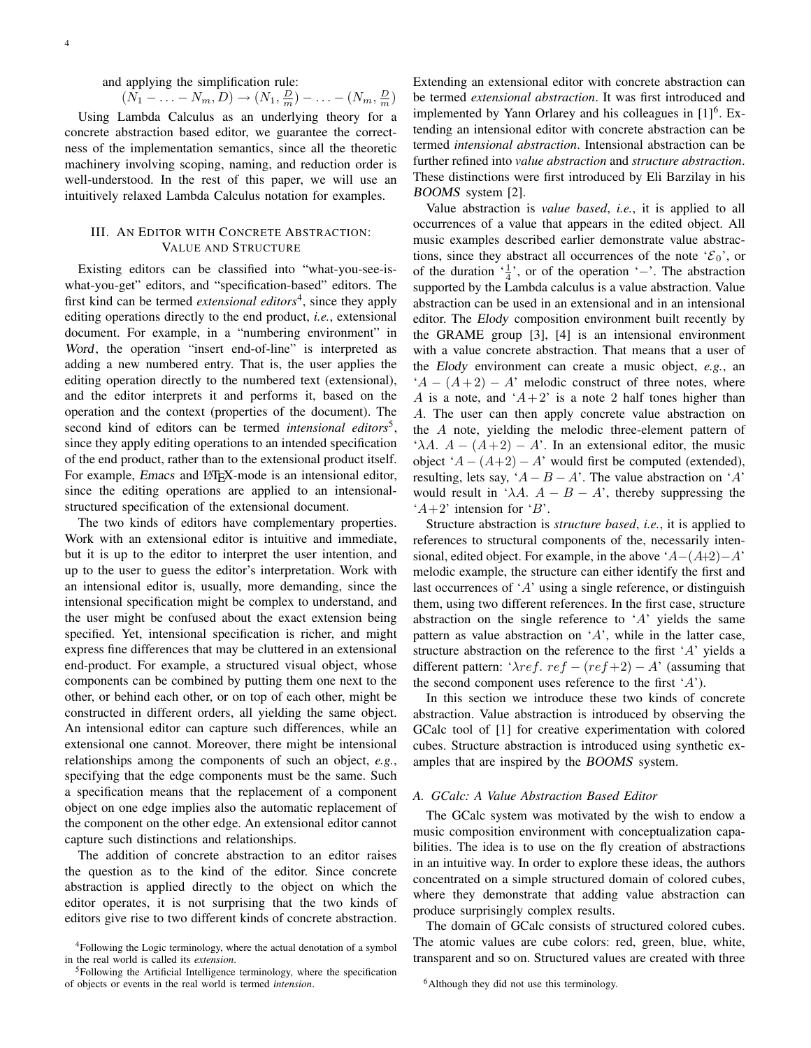and applying the simplification rule:

$$
(N_1-\ldots-N_m,D)\to (N_1,\frac{D}{m})-\ldots-(N_m,\frac{D}{m})
$$

Using Lambda Calculus as an underlying theory for a concrete abstraction based editor, we guarantee the correctness of the implementation semantics, since all the theoretic machinery involving scoping, naming, and reduction order is well-understood. In the rest of this paper, we will use an intuitively relaxed Lambda Calculus notation for examples.

# III. AN EDITOR WITH CONCRETE ABSTRACTION: VALUE AND STRUCTURE

Existing editors can be classified into "what-you-see-iswhat-you-get" editors, and "specification-based" editors. The first kind can be termed *extensional editors* 4 , since they apply editing operations directly to the end product, *i.e.*, extensional document. For example, in a "numbering environment" in Word, the operation "insert end-of-line" is interpreted as adding a new numbered entry. That is, the user applies the editing operation directly to the numbered text (extensional), and the editor interprets it and performs it, based on the operation and the context (properties of the document). The second kind of editors can be termed *intensional editors* 5 , since they apply editing operations to an intended specification of the end product, rather than to the extensional product itself. For example, Emacs and LATEX-mode is an intensional editor, since the editing operations are applied to an intensionalstructured specification of the extensional document.

The two kinds of editors have complementary properties. Work with an extensional editor is intuitive and immediate, but it is up to the editor to interpret the user intention, and up to the user to guess the editor's interpretation. Work with an intensional editor is, usually, more demanding, since the intensional specification might be complex to understand, and the user might be confused about the exact extension being specified. Yet, intensional specification is richer, and might express fine differences that may be cluttered in an extensional end-product. For example, a structured visual object, whose components can be combined by putting them one next to the other, or behind each other, or on top of each other, might be constructed in different orders, all yielding the same object. An intensional editor can capture such differences, while an extensional one cannot. Moreover, there might be intensional relationships among the components of such an object, *e.g.*, specifying that the edge components must be the same. Such a specification means that the replacement of a component object on one edge implies also the automatic replacement of the component on the other edge. An extensional editor cannot capture such distinctions and relationships.

The addition of concrete abstraction to an editor raises the question as to the kind of the editor. Since concrete abstraction is applied directly to the object on which the editor operates, it is not surprising that the two kinds of editors give rise to two different kinds of concrete abstraction. Extending an extensional editor with concrete abstraction can be termed *extensional abstraction*. It was first introduced and implemented by Yann Orlarey and his colleagues in [1]<sup>6</sup>. Extending an intensional editor with concrete abstraction can be termed *intensional abstraction*. Intensional abstraction can be further refined into *value abstraction* and *structure abstraction*. These distinctions were first introduced by Eli Barzilay in his BOOMS system [2].

Value abstraction is *value based*, *i.e.*, it is applied to all occurrences of a value that appears in the edited object. All music examples described earlier demonstrate value abstractions, since they abstract all occurrences of the note ' $\mathcal{E}_0$ ', or of the duration  $\frac{1}{4}$ , or of the operation '−'. The abstraction supported by the Lambda calculus is a value abstraction. Value abstraction can be used in an extensional and in an intensional editor. The Elody composition environment built recently by the GRAME group [3], [4] is an intensional environment with a value concrete abstraction. That means that a user of the Elody environment can create a music object, *e.g.*, an  $A - (A+2) - A'$  melodic construct of three notes, where A is a note, and  $A+2$  is a note 2 half tones higher than A. The user can then apply concrete value abstraction on the A note, yielding the melodic three-element pattern of ' $\lambda A$ .  $A - (A+2) - A$ '. In an extensional editor, the music object ' $A - (A+2) - A$ ' would first be computed (extended), resulting, lets say, ' $A - B - A$ '. The value abstraction on 'A' would result in ' $\lambda A$ .  $A - B - A$ ', thereby suppressing the ' $A+2$ ' intension for ' $B$ '.

Structure abstraction is *structure based*, *i.e.*, it is applied to references to structural components of the, necessarily intensional, edited object. For example, in the above ' $A-(A+2)-A$ ' melodic example, the structure can either identify the first and last occurrences of 'A' using a single reference, or distinguish them, using two different references. In the first case, structure abstraction on the single reference to 'A' yields the same pattern as value abstraction on  $A'$ , while in the latter case, structure abstraction on the reference to the first 'A' yields a different pattern: ' $\lambda ref. ref - (ref+2) - A'$  (assuming that the second component uses reference to the first  $'A$ ).

In this section we introduce these two kinds of concrete abstraction. Value abstraction is introduced by observing the GCalc tool of [1] for creative experimentation with colored cubes. Structure abstraction is introduced using synthetic examples that are inspired by the BOOMS system.

#### *A. GCalc: A Value Abstraction Based Editor*

The GCalc system was motivated by the wish to endow a music composition environment with conceptualization capabilities. The idea is to use on the fly creation of abstractions in an intuitive way. In order to explore these ideas, the authors concentrated on a simple structured domain of colored cubes, where they demonstrate that adding value abstraction can produce surprisingly complex results.

The domain of GCalc consists of structured colored cubes. The atomic values are cube colors: red, green, blue, white, transparent and so on. Structured values are created with three

<sup>&</sup>lt;sup>4</sup>Following the Logic terminology, where the actual denotation of a symbol in the real world is called its *extension*.

 $<sup>5</sup>Following the Artificial Intelligence terminology, where the specification$ </sup> of objects or events in the real world is termed *intension*.

<sup>&</sup>lt;sup>6</sup>Although they did not use this terminology.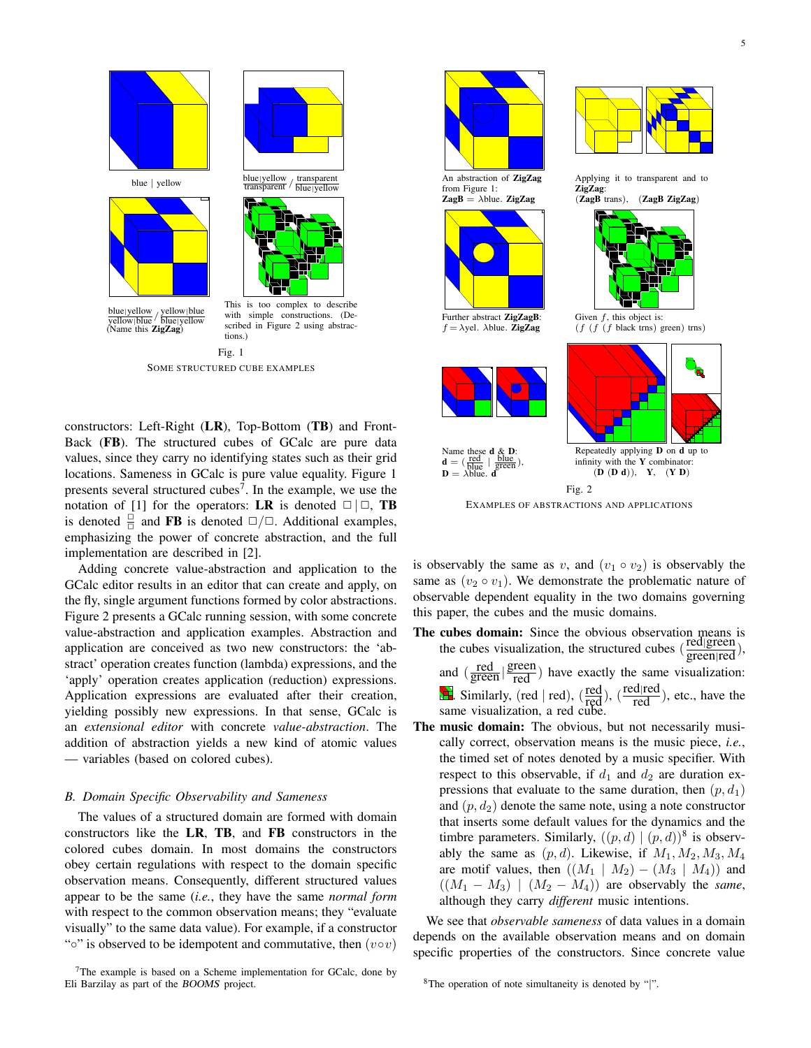

Fig. 1 SOME STRUCTURED CUBE EXAMPLES

constructors: Left-Right (**LR**), Top-Bottom (**TB**) and Front-Back (**FB**). The structured cubes of GCalc are pure data values, since they carry no identifying states such as their grid locations. Sameness in GCalc is pure value equality. Figure 1 presents several structured cubes<sup>7</sup>. In the example, we use the notation of [1] for the operators: **LR** is denoted  $\Box$   $\Box$ , **TB** is denoted  $\frac{\Box}{\Box}$  and **FB** is denoted  $\Box/\Box$ . Additional examples, emphasizing the power of concrete abstraction, and the full implementation are described in [2].

Adding concrete value-abstraction and application to the GCalc editor results in an editor that can create and apply, on the fly, single argument functions formed by color abstractions. Figure 2 presents a GCalc running session, with some concrete value-abstraction and application examples. Abstraction and application are conceived as two new constructors: the 'abstract' operation creates function (lambda) expressions, and the 'apply' operation creates application (reduction) expressions. Application expressions are evaluated after their creation, yielding possibly new expressions. In that sense, GCalc is an *extensional editor* with concrete *value-abstraction*. The addition of abstraction yields a new kind of atomic values — variables (based on colored cubes).

## *B. Domain Specific Observability and Sameness*

The values of a structured domain are formed with domain constructors like the **LR**, **TB**, and **FB** constructors in the colored cubes domain. In most domains the constructors obey certain regulations with respect to the domain specific observation means. Consequently, different structured values appear to be the same (*i.e.*, they have the same *normal form* with respect to the common observation means; they "evaluate visually" to the same data value). For example, if a constructor " $\circ$ " is observed to be idempotent and commutative, then  $(v \circ v)$ 



Repeatedly applying **D** on **d** up to

is observably the same as v, and  $(v_1 \circ v_2)$  is observably the same as  $(v_2 \circ v_1)$ . We demonstrate the problematic nature of observable dependent equality in the two domains governing this paper, the cubes and the music domains.

**The cubes domain:** Since the obvious observation means is the cubes visualization, the structured cubes  $(\frac{\text{red}|green}{green}|)$ ,

and  $\left(\frac{\text{red}}{\text{green}}\right)$  $\frac{\text{green}}{\text{red}}$ ) have exactly the same visualization: **R**. Similarly, (red | red), ( $\frac{red}{red}$ ), ( $\frac{red|red}{red}$ ), etc., have the same visualization, a red cube.

**The music domain:** The obvious, but not necessarily musically correct, observation means is the music piece, *i.e.*, the timed set of notes denoted by a music specifier. With respect to this observable, if  $d_1$  and  $d_2$  are duration expressions that evaluate to the same duration, then  $(p, d_1)$ and  $(p, d_2)$  denote the same note, using a note constructor that inserts some default values for the dynamics and the timbre parameters. Similarly,  $((p, d) | (p, d))^8$  is observably the same as  $(p, d)$ . Likewise, if  $M_1, M_2, M_3, M_4$ are motif values, then  $((M_1 \mid M_2) - (M_3 \mid M_4))$  and  $((M_1 - M_3) \mid (M_2 - M_4))$  are observably the *same*, although they carry *different* music intentions.

We see that *observable sameness* of data values in a domain depends on the available observation means and on domain specific properties of the constructors. Since concrete value

<sup>&</sup>lt;sup>7</sup>The example is based on a Scheme implementation for GCalc, done by Eli Barzilay as part of the BOOMS project.

<sup>8</sup>The operation of note simultaneity is denoted by "|".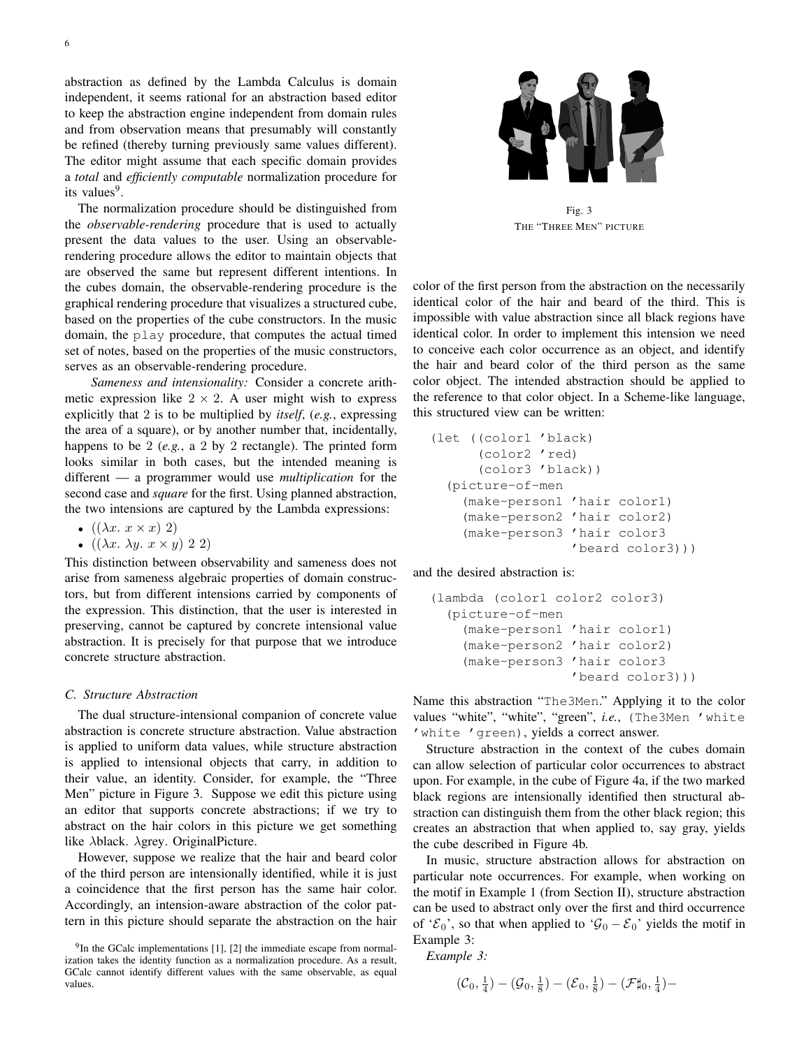abstraction as defined by the Lambda Calculus is domain independent, it seems rational for an abstraction based editor to keep the abstraction engine independent from domain rules and from observation means that presumably will constantly be refined (thereby turning previously same values different). The editor might assume that each specific domain provides a *total* and *efficiently computable* normalization procedure for its values<sup>9</sup>.

The normalization procedure should be distinguished from the *observable-rendering* procedure that is used to actually present the data values to the user. Using an observablerendering procedure allows the editor to maintain objects that are observed the same but represent different intentions. In the cubes domain, the observable-rendering procedure is the graphical rendering procedure that visualizes a structured cube, based on the properties of the cube constructors. In the music domain, the play procedure, that computes the actual timed set of notes, based on the properties of the music constructors, serves as an observable-rendering procedure.

*Sameness and intensionality:* Consider a concrete arithmetic expression like  $2 \times 2$ . A user might wish to express explicitly that 2 is to be multiplied by *itself*, (*e.g.*, expressing the area of a square), or by another number that, incidentally, happens to be 2 (*e.g.*, a 2 by 2 rectangle). The printed form looks similar in both cases, but the intended meaning is different — a programmer would use *multiplication* for the second case and *square* for the first. Using planned abstraction, the two intensions are captured by the Lambda expressions:

$$
\bullet \ \ ((\lambda x. \ x \times x) \ 2)
$$

•  $((\lambda x. \lambda y. x \times y) 2 2)$ 

This distinction between observability and sameness does not arise from sameness algebraic properties of domain constructors, but from different intensions carried by components of the expression. This distinction, that the user is interested in preserving, cannot be captured by concrete intensional value abstraction. It is precisely for that purpose that we introduce concrete structure abstraction.

## *C. Structure Abstraction*

The dual structure-intensional companion of concrete value abstraction is concrete structure abstraction. Value abstraction is applied to uniform data values, while structure abstraction is applied to intensional objects that carry, in addition to their value, an identity. Consider, for example, the "Three Men" picture in Figure 3. Suppose we edit this picture using an editor that supports concrete abstractions; if we try to abstract on the hair colors in this picture we get something like λblack. λgrey. OriginalPicture.

However, suppose we realize that the hair and beard color of the third person are intensionally identified, while it is just a coincidence that the first person has the same hair color. Accordingly, an intension-aware abstraction of the color pattern in this picture should separate the abstraction on the hair



Fig. 3 THE "THREE MEN" PICTURE

color of the first person from the abstraction on the necessarily identical color of the hair and beard of the third. This is impossible with value abstraction since all black regions have identical color. In order to implement this intension we need to conceive each color occurrence as an object, and identify the hair and beard color of the third person as the same color object. The intended abstraction should be applied to the reference to that color object. In a Scheme-like language, this structured view can be written:

```
(let ((color1 'black)
      (color2 'red)
      (color3 'black))
  (picture-of-men
    (make-person1 'hair color1)
    (make-person2 'hair color2)
    (make-person3 'hair color3
                  'beard color3)))
```
and the desired abstraction is:

```
(lambda (color1 color2 color3)
  (picture-of-men
    (make-person1 'hair color1)
    (make-person2 'hair color2)
    (make-person3 'hair color3
                  'beard color3)))
```
Name this abstraction "The3Men." Applying it to the color values "white", "white", "green", *i.e.*, (The3Men 'white 'white 'green), yields a correct answer.

Structure abstraction in the context of the cubes domain can allow selection of particular color occurrences to abstract upon. For example, in the cube of Figure 4a, if the two marked black regions are intensionally identified then structural abstraction can distinguish them from the other black region; this creates an abstraction that when applied to, say gray, yields the cube described in Figure 4b.

In music, structure abstraction allows for abstraction on particular note occurrences. For example, when working on the motif in Example 1 (from Section II), structure abstraction can be used to abstract only over the first and third occurrence of ' $\mathcal{E}_0$ ', so that when applied to ' $\mathcal{G}_0 - \mathcal{E}_0$ ' yields the motif in Example 3:

*Example 3:*

$$
(\mathcal{C}_0, \frac{1}{4}) - (\mathcal{G}_0, \frac{1}{8}) - (\mathcal{E}_0, \frac{1}{8}) - (\mathcal{F} \sharp_0, \frac{1}{4}) -
$$

<sup>&</sup>lt;sup>9</sup>In the GCalc implementations [1], [2] the immediate escape from normalization takes the identity function as a normalization procedure. As a result, GCalc cannot identify different values with the same observable, as equal values.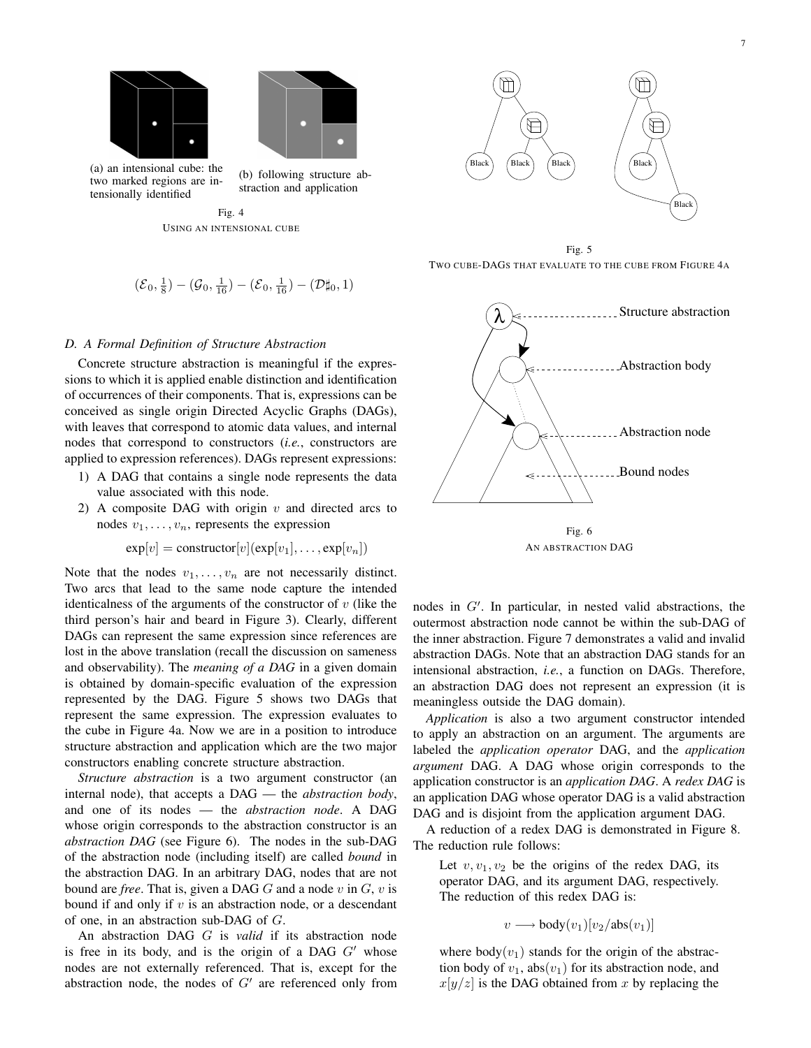7





(b) following structure abstraction and application

(a) an intensional cube: the two marked regions are intensionally identified

Fig. 4 USING AN INTENSIONAL CUBE



## *D. A Formal Definition of Structure Abstraction*

Concrete structure abstraction is meaningful if the expressions to which it is applied enable distinction and identification of occurrences of their components. That is, expressions can be conceived as single origin Directed Acyclic Graphs (DAGs), with leaves that correspond to atomic data values, and internal nodes that correspond to constructors (*i.e.*, constructors are applied to expression references). DAGs represent expressions:

- 1) A DAG that contains a single node represents the data value associated with this node.
- 2) A composite DAG with origin  $v$  and directed arcs to nodes  $v_1, \ldots, v_n$ , represents the expression

$$
exp[v] = \text{constructor}[v](exp[v_1], \dots, exp[v_n])
$$

Note that the nodes  $v_1, \ldots, v_n$  are not necessarily distinct. Two arcs that lead to the same node capture the intended identicalness of the arguments of the constructor of  $v$  (like the third person's hair and beard in Figure 3). Clearly, different DAGs can represent the same expression since references are lost in the above translation (recall the discussion on sameness and observability). The *meaning of a DAG* in a given domain is obtained by domain-specific evaluation of the expression represented by the DAG. Figure 5 shows two DAGs that represent the same expression. The expression evaluates to the cube in Figure 4a. Now we are in a position to introduce structure abstraction and application which are the two major constructors enabling concrete structure abstraction.

*Structure abstraction* is a two argument constructor (an internal node), that accepts a DAG — the *abstraction body*, and one of its nodes — the *abstraction node*. A DAG whose origin corresponds to the abstraction constructor is an *abstraction DAG* (see Figure 6). The nodes in the sub-DAG of the abstraction node (including itself) are called *bound* in the abstraction DAG. In an arbitrary DAG, nodes that are not bound are *free*. That is, given a DAG  $G$  and a node  $v$  in  $G$ ,  $v$  is bound if and only if  $v$  is an abstraction node, or a descendant of one, in an abstraction sub-DAG of G.

An abstraction DAG G is *valid* if its abstraction node is free in its body, and is the origin of a DAG  $G'$  whose nodes are not externally referenced. That is, except for the abstraction node, the nodes of  $G'$  are referenced only from



Fig. 5 TWO CUBE-DAGS THAT EVALUATE TO THE CUBE FROM FIGURE 4A



AN ABSTRACTION DAG

nodes in  $G'$ . In particular, in nested valid abstractions, the outermost abstraction node cannot be within the sub-DAG of the inner abstraction. Figure 7 demonstrates a valid and invalid abstraction DAGs. Note that an abstraction DAG stands for an intensional abstraction, *i.e.*, a function on DAGs. Therefore, an abstraction DAG does not represent an expression (it is meaningless outside the DAG domain).

*Application* is also a two argument constructor intended to apply an abstraction on an argument. The arguments are labeled the *application operator* DAG, and the *application argument* DAG. A DAG whose origin corresponds to the application constructor is an *application DAG*. A *redex DAG* is an application DAG whose operator DAG is a valid abstraction DAG and is disjoint from the application argument DAG.

A reduction of a redex DAG is demonstrated in Figure 8. The reduction rule follows:

Let  $v, v_1, v_2$  be the origins of the redex DAG, its operator DAG, and its argument DAG, respectively. The reduction of this redex DAG is:

$$
v \longrightarrow \text{body}(v_1)[v_2/\text{abs}(v_1)]
$$

where  $body(v_1)$  stands for the origin of the abstraction body of  $v_1$ , abs $(v_1)$  for its abstraction node, and  $x[y/z]$  is the DAG obtained from x by replacing the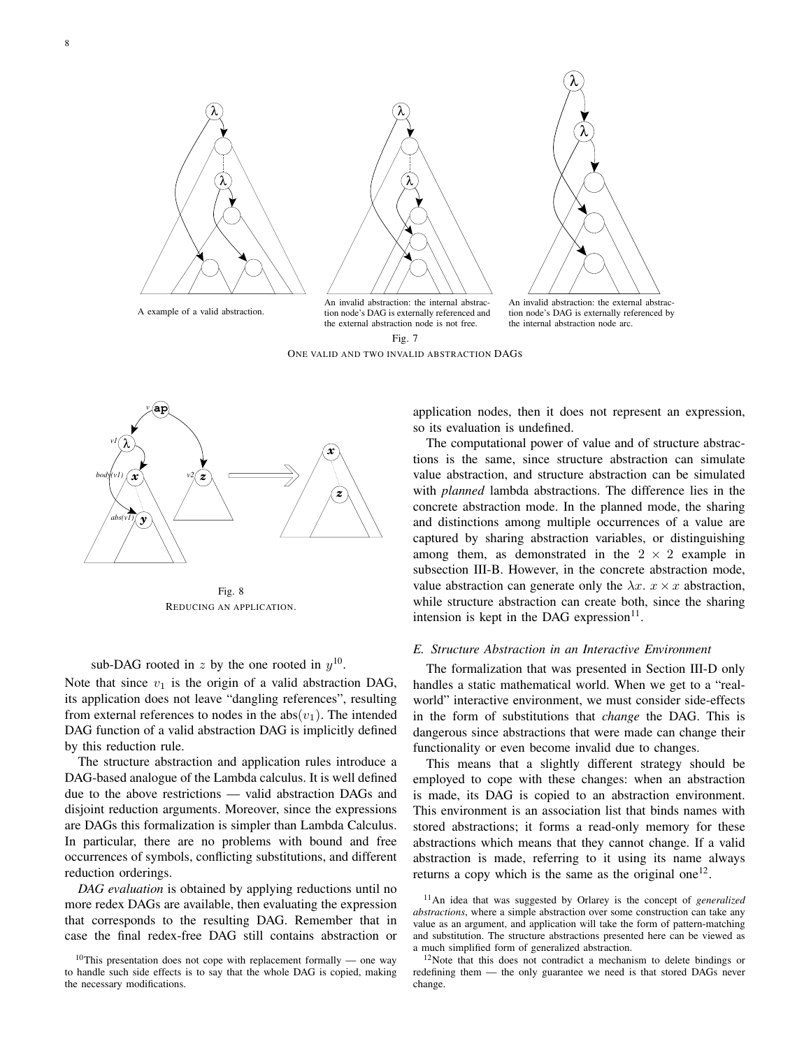

the external abstraction node is not free. Fig. 7

ONE VALID AND TWO INVALID ABSTRACTION DAGS



Fig. 8 REDUCING AN APPLICATION.

sub-DAG rooted in z by the one rooted in  $y^{10}$ .

Note that since  $v_1$  is the origin of a valid abstraction DAG, its application does not leave "dangling references", resulting from external references to nodes in the  $abs(v_1)$ . The intended DAG function of a valid abstraction DAG is implicitly defined by this reduction rule.

The structure abstraction and application rules introduce a DAG-based analogue of the Lambda calculus. It is well defined due to the above restrictions — valid abstraction DAGs and disjoint reduction arguments. Moreover, since the expressions are DAGs this formalization is simpler than Lambda Calculus. In particular, there are no problems with bound and free occurrences of symbols, conflicting substitutions, and different reduction orderings.

*DAG evaluation* is obtained by applying reductions until no more redex DAGs are available, then evaluating the expression that corresponds to the resulting DAG. Remember that in case the final redex-free DAG still contains abstraction or

application nodes, then it does not represent an expression, so its evaluation is undefined.

the internal abstraction node arc.

The computational power of value and of structure abstractions is the same, since structure abstraction can simulate value abstraction, and structure abstraction can be simulated with *planned* lambda abstractions. The difference lies in the concrete abstraction mode. In the planned mode, the sharing and distinctions among multiple occurrences of a value are captured by sharing abstraction variables, or distinguishing among them, as demonstrated in the  $2 \times 2$  example in subsection III-B. However, in the concrete abstraction mode, value abstraction can generate only the  $\lambda x$ .  $x \times x$  abstraction, while structure abstraction can create both, since the sharing intension is kept in the DAG expression $11$ .

## *E. Structure Abstraction in an Interactive Environment*

The formalization that was presented in Section III-D only handles a static mathematical world. When we get to a "realworld" interactive environment, we must consider side-effects in the form of substitutions that *change* the DAG. This is dangerous since abstractions that were made can change their functionality or even become invalid due to changes.

This means that a slightly different strategy should be employed to cope with these changes: when an abstraction is made, its DAG is copied to an abstraction environment. This environment is an association list that binds names with stored abstractions; it forms a read-only memory for these abstractions which means that they cannot change. If a valid abstraction is made, referring to it using its name always returns a copy which is the same as the original one<sup>12</sup>.

 $10$ This presentation does not cope with replacement formally — one way to handle such side effects is to say that the whole DAG is copied, making the necessary modifications.

<sup>11</sup>An idea that was suggested by Orlarey is the concept of *generalized abstractions*, where a simple abstraction over some construction can take any value as an argument, and application will take the form of pattern-matching and substitution. The structure abstractions presented here can be viewed as a much simplified form of generalized abstraction.

 $12$ Note that this does not contradict a mechanism to delete bindings or redefining them — the only guarantee we need is that stored DAGs never change.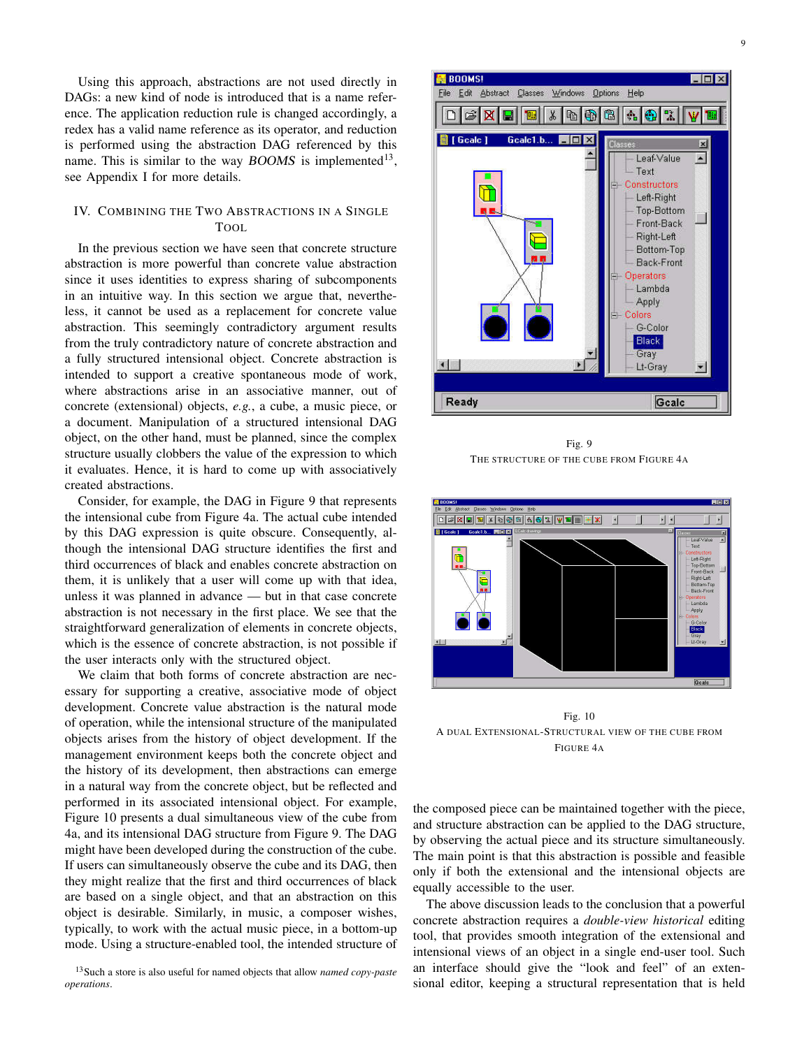Using this approach, abstractions are not used directly in DAGs: a new kind of node is introduced that is a name reference. The application reduction rule is changed accordingly, a redex has a valid name reference as its operator, and reduction is performed using the abstraction DAG referenced by this name. This is similar to the way  $\overline{BOOMS}$  is implemented<sup>13</sup>, see Appendix I for more details.

# IV. COMBINING THE TWO ABSTRACTIONS IN A SINGLE TOOL

In the previous section we have seen that concrete structure abstraction is more powerful than concrete value abstraction since it uses identities to express sharing of subcomponents in an intuitive way. In this section we argue that, nevertheless, it cannot be used as a replacement for concrete value abstraction. This seemingly contradictory argument results from the truly contradictory nature of concrete abstraction and a fully structured intensional object. Concrete abstraction is intended to support a creative spontaneous mode of work, where abstractions arise in an associative manner, out of concrete (extensional) objects, *e.g.*, a cube, a music piece, or a document. Manipulation of a structured intensional DAG object, on the other hand, must be planned, since the complex structure usually clobbers the value of the expression to which it evaluates. Hence, it is hard to come up with associatively created abstractions.

Consider, for example, the DAG in Figure 9 that represents the intensional cube from Figure 4a. The actual cube intended by this DAG expression is quite obscure. Consequently, although the intensional DAG structure identifies the first and third occurrences of black and enables concrete abstraction on them, it is unlikely that a user will come up with that idea, unless it was planned in advance — but in that case concrete abstraction is not necessary in the first place. We see that the straightforward generalization of elements in concrete objects, which is the essence of concrete abstraction, is not possible if the user interacts only with the structured object.

We claim that both forms of concrete abstraction are necessary for supporting a creative, associative mode of object development. Concrete value abstraction is the natural mode of operation, while the intensional structure of the manipulated objects arises from the history of object development. If the management environment keeps both the concrete object and the history of its development, then abstractions can emerge in a natural way from the concrete object, but be reflected and performed in its associated intensional object. For example, Figure 10 presents a dual simultaneous view of the cube from 4a, and its intensional DAG structure from Figure 9. The DAG might have been developed during the construction of the cube. If users can simultaneously observe the cube and its DAG, then they might realize that the first and third occurrences of black are based on a single object, and that an abstraction on this object is desirable. Similarly, in music, a composer wishes, typically, to work with the actual music piece, in a bottom-up mode. Using a structure-enabled tool, the intended structure of



Fig. 9 THE STRUCTURE OF THE CUBE FROM FIGURE 4A



Fig. 10 A DUAL EXTENSIONAL-STRUCTURAL VIEW OF THE CUBE FROM FIGURE 4A

the composed piece can be maintained together with the piece, and structure abstraction can be applied to the DAG structure, by observing the actual piece and its structure simultaneously. The main point is that this abstraction is possible and feasible only if both the extensional and the intensional objects are equally accessible to the user.

The above discussion leads to the conclusion that a powerful concrete abstraction requires a *double-view historical* editing tool, that provides smooth integration of the extensional and intensional views of an object in a single end-user tool. Such an interface should give the "look and feel" of an extensional editor, keeping a structural representation that is held

<sup>13</sup>Such a store is also useful for named objects that allow *named copy-paste operations*.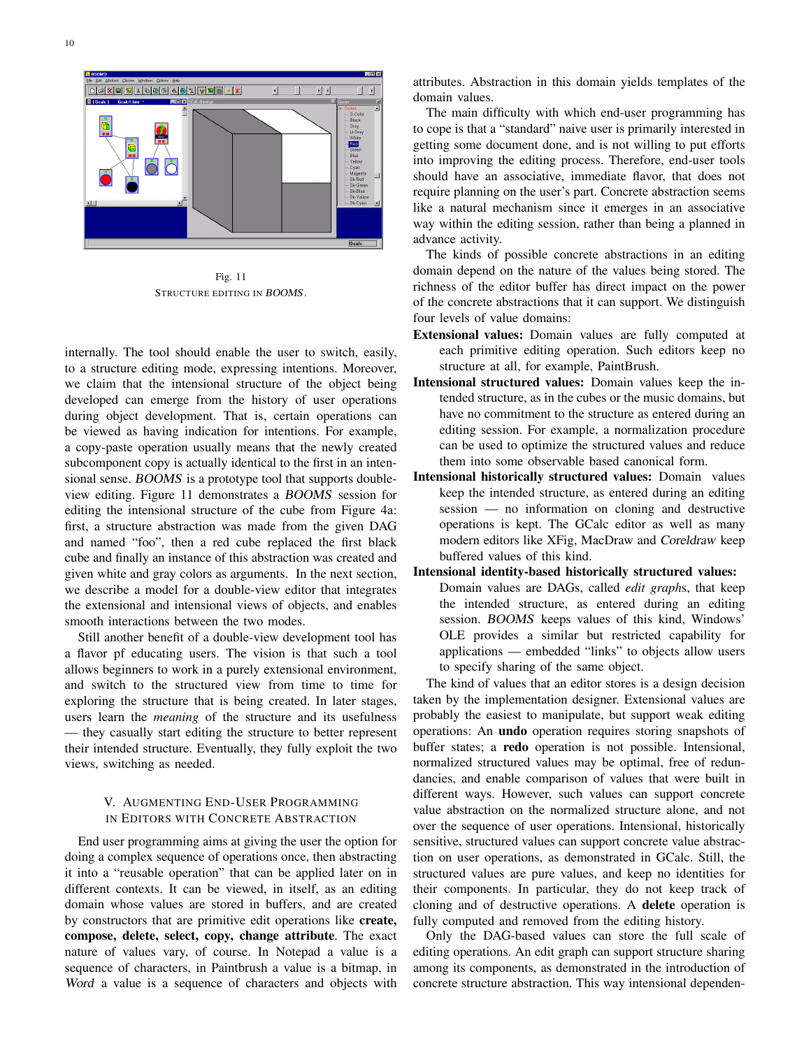

Fig. 11 STRUCTURE EDITING IN BOOMS.

internally. The tool should enable the user to switch, easily, to a structure editing mode, expressing intentions. Moreover, we claim that the intensional structure of the object being developed can emerge from the history of user operations during object development. That is, certain operations can be viewed as having indication for intentions. For example, a copy-paste operation usually means that the newly created subcomponent copy is actually identical to the first in an intensional sense. BOOMS is a prototype tool that supports doubleview editing. Figure 11 demonstrates a BOOMS session for editing the intensional structure of the cube from Figure 4a: first, a structure abstraction was made from the given DAG and named "foo", then a red cube replaced the first black cube and finally an instance of this abstraction was created and given white and gray colors as arguments. In the next section, we describe a model for a double-view editor that integrates the extensional and intensional views of objects, and enables smooth interactions between the two modes.

Still another benefit of a double-view development tool has a flavor pf educating users. The vision is that such a tool allows beginners to work in a purely extensional environment, and switch to the structured view from time to time for exploring the structure that is being created. In later stages, users learn the *meaning* of the structure and its usefulness — they casually start editing the structure to better represent their intended structure. Eventually, they fully exploit the two views, switching as needed.

## V. AUGMENTING END-USER PROGRAMMING IN EDITORS WITH CONCRETE ABSTRACTION

End user programming aims at giving the user the option for doing a complex sequence of operations once, then abstracting it into a "reusable operation" that can be applied later on in different contexts. It can be viewed, in itself, as an editing domain whose values are stored in buffers, and are created by constructors that are primitive edit operations like **create, compose, delete, select, copy, change attribute**. The exact nature of values vary, of course. In Notepad a value is a sequence of characters, in Paintbrush a value is a bitmap, in Word a value is a sequence of characters and objects with attributes. Abstraction in this domain yields templates of the domain values.

The main difficulty with which end-user programming has to cope is that a "standard" naive user is primarily interested in getting some document done, and is not willing to put efforts into improving the editing process. Therefore, end-user tools should have an associative, immediate flavor, that does not require planning on the user's part. Concrete abstraction seems like a natural mechanism since it emerges in an associative way within the editing session, rather than being a planned in advance activity.

The kinds of possible concrete abstractions in an editing domain depend on the nature of the values being stored. The richness of the editor buffer has direct impact on the power of the concrete abstractions that it can support. We distinguish four levels of value domains:

- **Extensional values:** Domain values are fully computed at each primitive editing operation. Such editors keep no structure at all, for example, PaintBrush.
- **Intensional structured values:** Domain values keep the intended structure, as in the cubes or the music domains, but have no commitment to the structure as entered during an editing session. For example, a normalization procedure can be used to optimize the structured values and reduce them into some observable based canonical form.
- **Intensional historically structured values:** Domain values keep the intended structure, as entered during an editing session — no information on cloning and destructive operations is kept. The GCalc editor as well as many modern editors like XFig, MacDraw and Coreldraw keep buffered values of this kind.
- **Intensional identity-based historically structured values:** Domain values are DAGs, called *edit graph*s, that keep the intended structure, as entered during an editing session. BOOMS keeps values of this kind, Windows' OLE provides a similar but restricted capability for applications — embedded "links" to objects allow users to specify sharing of the same object.

The kind of values that an editor stores is a design decision taken by the implementation designer. Extensional values are probably the easiest to manipulate, but support weak editing operations: An **undo** operation requires storing snapshots of buffer states; a **redo** operation is not possible. Intensional, normalized structured values may be optimal, free of redundancies, and enable comparison of values that were built in different ways. However, such values can support concrete value abstraction on the normalized structure alone, and not over the sequence of user operations. Intensional, historically sensitive, structured values can support concrete value abstraction on user operations, as demonstrated in GCalc. Still, the structured values are pure values, and keep no identities for their components. In particular, they do not keep track of cloning and of destructive operations. A **delete** operation is fully computed and removed from the editing history.

Only the DAG-based values can store the full scale of editing operations. An edit graph can support structure sharing among its components, as demonstrated in the introduction of concrete structure abstraction. This way intensional dependen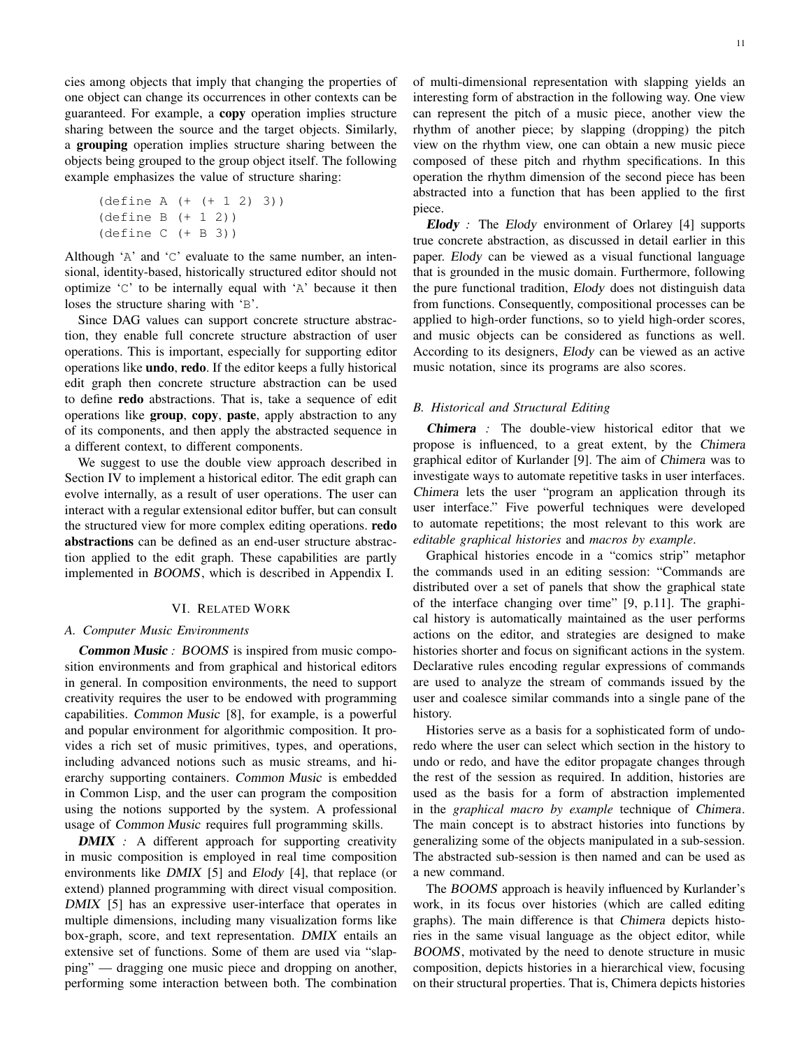cies among objects that imply that changing the properties of one object can change its occurrences in other contexts can be guaranteed. For example, a **copy** operation implies structure sharing between the source and the target objects. Similarly, a **grouping** operation implies structure sharing between the objects being grouped to the group object itself. The following example emphasizes the value of structure sharing:

```
(define A (+ (+ 1 2) 3))
(define B (+ 1 2))
(define C (+ B 3))
```
Although 'A' and 'C' evaluate to the same number, an intensional, identity-based, historically structured editor should not optimize 'C' to be internally equal with 'A' because it then loses the structure sharing with 'B'.

Since DAG values can support concrete structure abstraction, they enable full concrete structure abstraction of user operations. This is important, especially for supporting editor operations like **undo**, **redo**. If the editor keeps a fully historical edit graph then concrete structure abstraction can be used to define **redo** abstractions. That is, take a sequence of edit operations like **group**, **copy**, **paste**, apply abstraction to any of its components, and then apply the abstracted sequence in a different context, to different components.

We suggest to use the double view approach described in Section IV to implement a historical editor. The edit graph can evolve internally, as a result of user operations. The user can interact with a regular extensional editor buffer, but can consult the structured view for more complex editing operations. **redo abstractions** can be defined as an end-user structure abstraction applied to the edit graph. These capabilities are partly implemented in BOOMS, which is described in Appendix I.

## VI. RELATED WORK

#### *A. Computer Music Environments*

**Common Music** *:* BOOMS is inspired from music composition environments and from graphical and historical editors in general. In composition environments, the need to support creativity requires the user to be endowed with programming capabilities. Common Music [8], for example, is a powerful and popular environment for algorithmic composition. It provides a rich set of music primitives, types, and operations, including advanced notions such as music streams, and hierarchy supporting containers. Common Music is embedded in Common Lisp, and the user can program the composition using the notions supported by the system. A professional usage of Common Music requires full programming skills.

**DMIX** : A different approach for supporting creativity in music composition is employed in real time composition environments like DMIX [5] and Elody [4], that replace (or extend) planned programming with direct visual composition. DMIX [5] has an expressive user-interface that operates in multiple dimensions, including many visualization forms like box-graph, score, and text representation. DMIX entails an extensive set of functions. Some of them are used via "slapping" — dragging one music piece and dropping on another, performing some interaction between both. The combination of multi-dimensional representation with slapping yields an interesting form of abstraction in the following way. One view can represent the pitch of a music piece, another view the rhythm of another piece; by slapping (dropping) the pitch view on the rhythm view, one can obtain a new music piece composed of these pitch and rhythm specifications. In this operation the rhythm dimension of the second piece has been abstracted into a function that has been applied to the first piece.

**Elody** *:* The Elody environment of Orlarey [4] supports true concrete abstraction, as discussed in detail earlier in this paper. Elody can be viewed as a visual functional language that is grounded in the music domain. Furthermore, following the pure functional tradition, Elody does not distinguish data from functions. Consequently, compositional processes can be applied to high-order functions, so to yield high-order scores, and music objects can be considered as functions as well. According to its designers, Elody can be viewed as an active music notation, since its programs are also scores.

## *B. Historical and Structural Editing*

**Chimera** *:* The double-view historical editor that we propose is influenced, to a great extent, by the Chimera graphical editor of Kurlander [9]. The aim of Chimera was to investigate ways to automate repetitive tasks in user interfaces. Chimera lets the user "program an application through its user interface." Five powerful techniques were developed to automate repetitions; the most relevant to this work are *editable graphical histories* and *macros by example*.

Graphical histories encode in a "comics strip" metaphor the commands used in an editing session: "Commands are distributed over a set of panels that show the graphical state of the interface changing over time" [9, p.11]. The graphical history is automatically maintained as the user performs actions on the editor, and strategies are designed to make histories shorter and focus on significant actions in the system. Declarative rules encoding regular expressions of commands are used to analyze the stream of commands issued by the user and coalesce similar commands into a single pane of the history.

Histories serve as a basis for a sophisticated form of undoredo where the user can select which section in the history to undo or redo, and have the editor propagate changes through the rest of the session as required. In addition, histories are used as the basis for a form of abstraction implemented in the *graphical macro by example* technique of Chimera. The main concept is to abstract histories into functions by generalizing some of the objects manipulated in a sub-session. The abstracted sub-session is then named and can be used as a new command.

The BOOMS approach is heavily influenced by Kurlander's work, in its focus over histories (which are called editing graphs). The main difference is that Chimera depicts histories in the same visual language as the object editor, while BOOMS, motivated by the need to denote structure in music composition, depicts histories in a hierarchical view, focusing on their structural properties. That is, Chimera depicts histories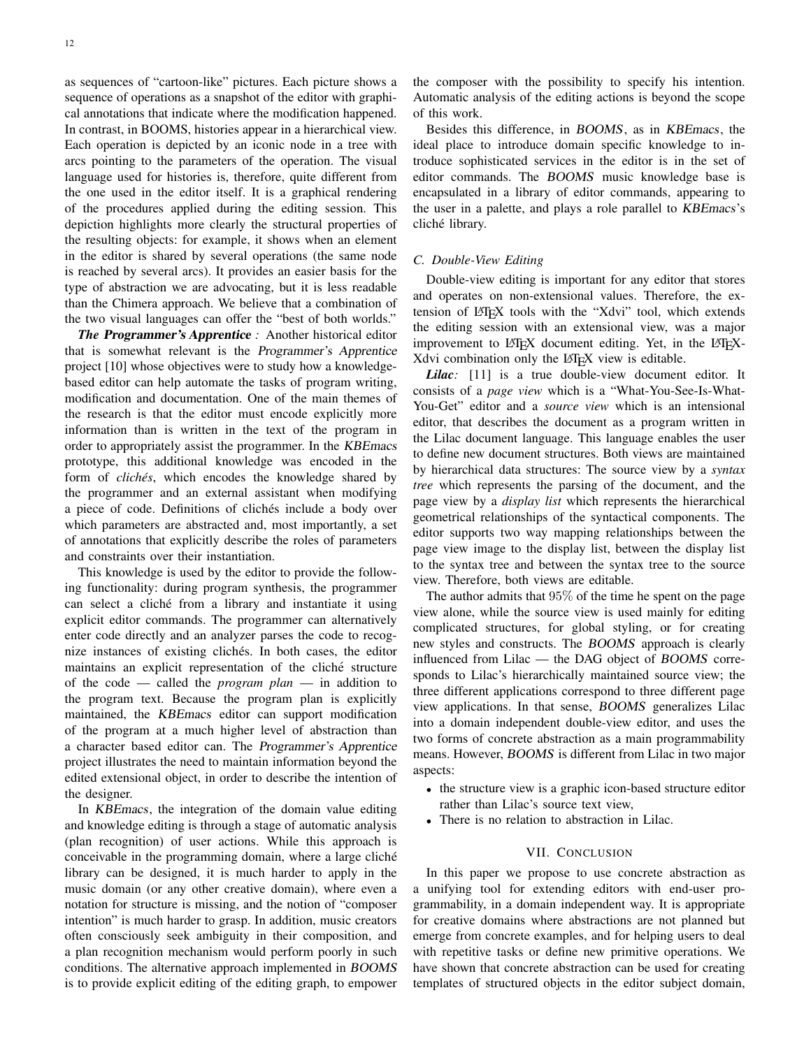as sequences of "cartoon-like" pictures. Each picture shows a sequence of operations as a snapshot of the editor with graphical annotations that indicate where the modification happened. In contrast, in BOOMS, histories appear in a hierarchical view. Each operation is depicted by an iconic node in a tree with arcs pointing to the parameters of the operation. The visual language used for histories is, therefore, quite different from the one used in the editor itself. It is a graphical rendering of the procedures applied during the editing session. This depiction highlights more clearly the structural properties of the resulting objects: for example, it shows when an element in the editor is shared by several operations (the same node is reached by several arcs). It provides an easier basis for the type of abstraction we are advocating, but it is less readable than the Chimera approach. We believe that a combination of the two visual languages can offer the "best of both worlds."

*The* **Programmer's Apprentice** *:* Another historical editor that is somewhat relevant is the Programmer's Apprentice project [10] whose objectives were to study how a knowledgebased editor can help automate the tasks of program writing, modification and documentation. One of the main themes of the research is that the editor must encode explicitly more information than is written in the text of the program in order to appropriately assist the programmer. In the KBEmacs prototype, this additional knowledge was encoded in the form of *clichés*, which encodes the knowledge shared by the programmer and an external assistant when modifying a piece of code. Definitions of clichés include a body over which parameters are abstracted and, most importantly, a set of annotations that explicitly describe the roles of parameters and constraints over their instantiation.

This knowledge is used by the editor to provide the following functionality: during program synthesis, the programmer can select a cliché from a library and instantiate it using explicit editor commands. The programmer can alternatively enter code directly and an analyzer parses the code to recognize instances of existing clichés. In both cases, the editor maintains an explicit representation of the cliché structure of the code — called the *program plan* — in addition to the program text. Because the program plan is explicitly maintained, the KBEmacs editor can support modification of the program at a much higher level of abstraction than a character based editor can. The Programmer's Apprentice project illustrates the need to maintain information beyond the edited extensional object, in order to describe the intention of the designer.

In KBEmacs, the integration of the domain value editing and knowledge editing is through a stage of automatic analysis (plan recognition) of user actions. While this approach is conceivable in the programming domain, where a large cliché library can be designed, it is much harder to apply in the music domain (or any other creative domain), where even a notation for structure is missing, and the notion of "composer intention" is much harder to grasp. In addition, music creators often consciously seek ambiguity in their composition, and a plan recognition mechanism would perform poorly in such conditions. The alternative approach implemented in BOOMS is to provide explicit editing of the editing graph, to empower the composer with the possibility to specify his intention. Automatic analysis of the editing actions is beyond the scope of this work.

Besides this difference, in BOOMS, as in KBEmacs, the ideal place to introduce domain specific knowledge to introduce sophisticated services in the editor is in the set of editor commands. The BOOMS music knowledge base is encapsulated in a library of editor commands, appearing to the user in a palette, and plays a role parallel to KBEmacs's cliché library.

## *C. Double-View Editing*

Double-view editing is important for any editor that stores and operates on non-extensional values. Therefore, the extension of LATEX tools with the "Xdvi" tool, which extends the editing session with an extensional view, was a major improvement to LATEX document editing. Yet, in the LATEX-Xdvi combination only the LAT<sub>EX</sub> view is editable.

*Lilac:* [11] is a true double-view document editor. It consists of a *page view* which is a "What-You-See-Is-What-You-Get" editor and a *source view* which is an intensional editor, that describes the document as a program written in the Lilac document language. This language enables the user to define new document structures. Both views are maintained by hierarchical data structures: The source view by a *syntax tree* which represents the parsing of the document, and the page view by a *display list* which represents the hierarchical geometrical relationships of the syntactical components. The editor supports two way mapping relationships between the page view image to the display list, between the display list to the syntax tree and between the syntax tree to the source view. Therefore, both views are editable.

The author admits that 95% of the time he spent on the page view alone, while the source view is used mainly for editing complicated structures, for global styling, or for creating new styles and constructs. The BOOMS approach is clearly influenced from Lilac — the DAG object of BOOMS corresponds to Lilac's hierarchically maintained source view; the three different applications correspond to three different page view applications. In that sense, BOOMS generalizes Lilac into a domain independent double-view editor, and uses the two forms of concrete abstraction as a main programmability means. However, BOOMS is different from Lilac in two major aspects:

- the structure view is a graphic icon-based structure editor rather than Lilac's source text view,
- There is no relation to abstraction in Lilac.

## VII. CONCLUSION

In this paper we propose to use concrete abstraction as a unifying tool for extending editors with end-user programmability, in a domain independent way. It is appropriate for creative domains where abstractions are not planned but emerge from concrete examples, and for helping users to deal with repetitive tasks or define new primitive operations. We have shown that concrete abstraction can be used for creating templates of structured objects in the editor subject domain,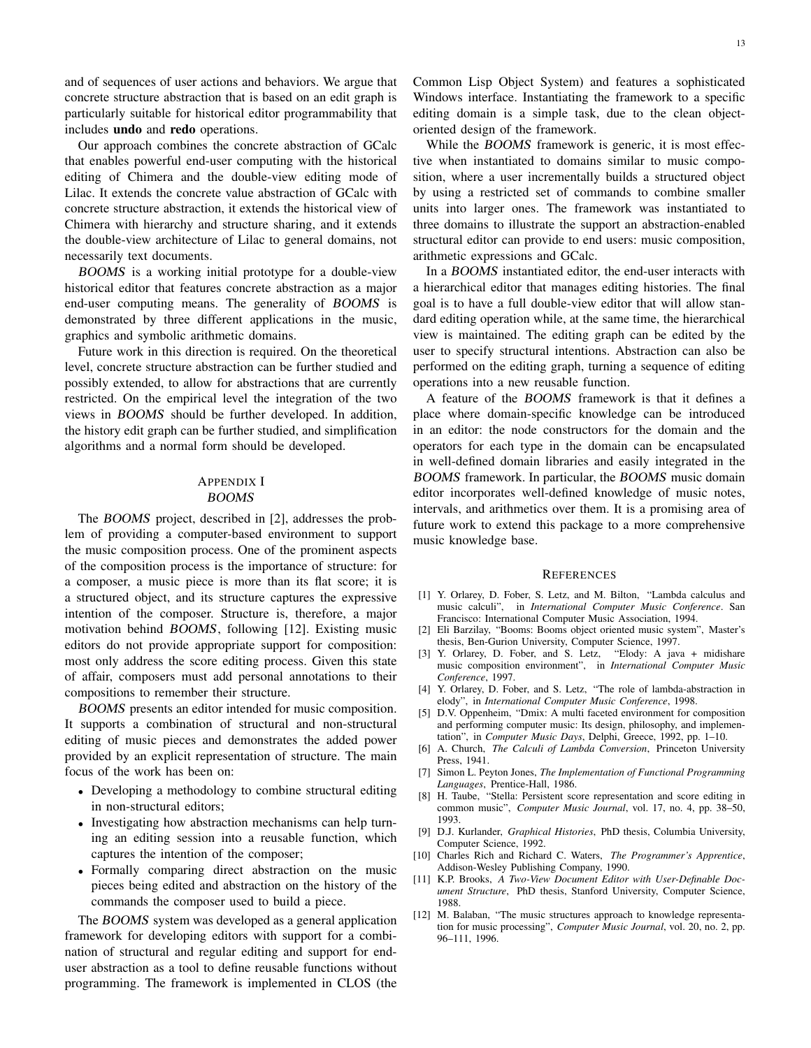and of sequences of user actions and behaviors. We argue that concrete structure abstraction that is based on an edit graph is particularly suitable for historical editor programmability that includes **undo** and **redo** operations.

Our approach combines the concrete abstraction of GCalc that enables powerful end-user computing with the historical editing of Chimera and the double-view editing mode of Lilac. It extends the concrete value abstraction of GCalc with concrete structure abstraction, it extends the historical view of Chimera with hierarchy and structure sharing, and it extends the double-view architecture of Lilac to general domains, not necessarily text documents.

BOOMS is a working initial prototype for a double-view historical editor that features concrete abstraction as a major end-user computing means. The generality of BOOMS is demonstrated by three different applications in the music, graphics and symbolic arithmetic domains.

Future work in this direction is required. On the theoretical level, concrete structure abstraction can be further studied and possibly extended, to allow for abstractions that are currently restricted. On the empirical level the integration of the two views in BOOMS should be further developed. In addition, the history edit graph can be further studied, and simplification algorithms and a normal form should be developed.

## APPENDIX I BOOMS

The BOOMS project, described in [2], addresses the problem of providing a computer-based environment to support the music composition process. One of the prominent aspects of the composition process is the importance of structure: for a composer, a music piece is more than its flat score; it is a structured object, and its structure captures the expressive intention of the composer. Structure is, therefore, a major motivation behind BOOMS, following [12]. Existing music editors do not provide appropriate support for composition: most only address the score editing process. Given this state of affair, composers must add personal annotations to their compositions to remember their structure.

BOOMS presents an editor intended for music composition. It supports a combination of structural and non-structural editing of music pieces and demonstrates the added power provided by an explicit representation of structure. The main focus of the work has been on:

- Developing a methodology to combine structural editing in non-structural editors;
- Investigating how abstraction mechanisms can help turning an editing session into a reusable function, which captures the intention of the composer;
- Formally comparing direct abstraction on the music pieces being edited and abstraction on the history of the commands the composer used to build a piece.

The BOOMS system was developed as a general application framework for developing editors with support for a combination of structural and regular editing and support for enduser abstraction as a tool to define reusable functions without programming. The framework is implemented in CLOS (the Common Lisp Object System) and features a sophisticated Windows interface. Instantiating the framework to a specific editing domain is a simple task, due to the clean objectoriented design of the framework.

While the BOOMS framework is generic, it is most effective when instantiated to domains similar to music composition, where a user incrementally builds a structured object by using a restricted set of commands to combine smaller units into larger ones. The framework was instantiated to three domains to illustrate the support an abstraction-enabled structural editor can provide to end users: music composition, arithmetic expressions and GCalc.

In a BOOMS instantiated editor, the end-user interacts with a hierarchical editor that manages editing histories. The final goal is to have a full double-view editor that will allow standard editing operation while, at the same time, the hierarchical view is maintained. The editing graph can be edited by the user to specify structural intentions. Abstraction can also be performed on the editing graph, turning a sequence of editing operations into a new reusable function.

A feature of the BOOMS framework is that it defines a place where domain-specific knowledge can be introduced in an editor: the node constructors for the domain and the operators for each type in the domain can be encapsulated in well-defined domain libraries and easily integrated in the BOOMS framework. In particular, the BOOMS music domain editor incorporates well-defined knowledge of music notes, intervals, and arithmetics over them. It is a promising area of future work to extend this package to a more comprehensive music knowledge base.

## **REFERENCES**

- [1] Y. Orlarey, D. Fober, S. Letz, and M. Bilton, "Lambda calculus and music calculi", in *International Computer Music Conference*. San Francisco: International Computer Music Association, 1994.
- [2] Eli Barzilay, "Booms: Booms object oriented music system", Master's thesis, Ben-Gurion University, Computer Science, 1997.
- [3] Y. Orlarey, D. Fober, and S. Letz, "Elody: A java + midishare music composition environment", in *International Computer Music Conference*, 1997.
- [4] Y. Orlarey, D. Fober, and S. Letz, "The role of lambda-abstraction in elody", in *International Computer Music Conference*, 1998.
- [5] D.V. Oppenheim, "Dmix: A multi faceted environment for composition and performing computer music: Its design, philosophy, and implementation", in *Computer Music Days*, Delphi, Greece, 1992, pp. 1–10.
- [6] A. Church, *The Calculi of Lambda Conversion*, Princeton University Press, 1941.
- [7] Simon L. Peyton Jones, *The Implementation of Functional Programming Languages*, Prentice-Hall, 1986.
- [8] H. Taube, "Stella: Persistent score representation and score editing in common music", *Computer Music Journal*, vol. 17, no. 4, pp. 38–50, 1993.
- [9] D.J. Kurlander, *Graphical Histories*, PhD thesis, Columbia University, Computer Science, 1992.
- [10] Charles Rich and Richard C. Waters, *The Programmer's Apprentice*, Addison-Wesley Publishing Company, 1990.
- [11] K.P. Brooks, *A Two-View Document Editor with User-Definable Document Structure*, PhD thesis, Stanford University, Computer Science, 1988.
- [12] M. Balaban, "The music structures approach to knowledge representation for music processing", *Computer Music Journal*, vol. 20, no. 2, pp. 96–111, 1996.